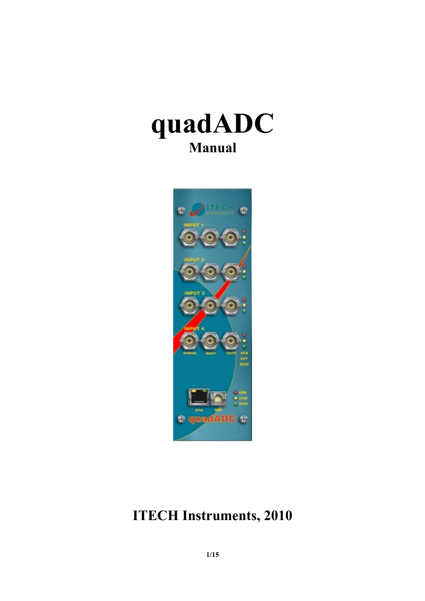



# **ITECH Instruments, 2010**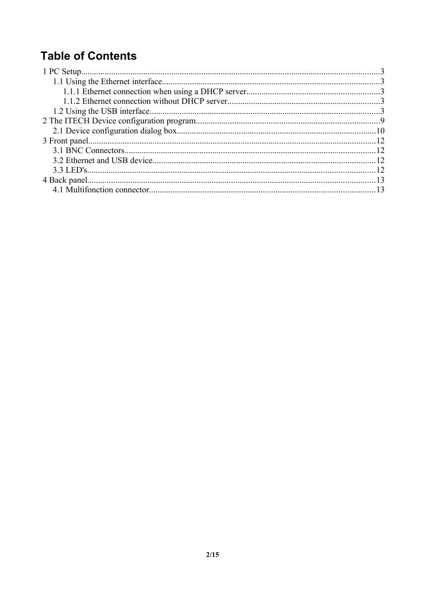## **Table of Contents**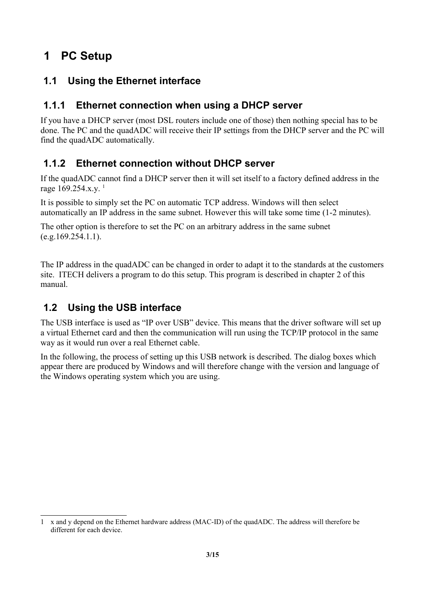## **1 PC Setup**

### **1.1 Using the Ethernet interface**

#### **1.1.1 Ethernet connection when using a DHCP server**

If you have a DHCP server (most DSL routers include one of those) then nothing special has to be done. The PC and the quadADC will receive their IP settings from the DHCP server and the PC will find the quadADC automatically.

#### **1.1.2 Ethernet connection without DHCP server**

If the quadADC cannot find a DHCP server then it will set itself to a factory defined address in the rage  $169.254.x.y.$  $169.254.x.y.$ <sup>1</sup>

It is possible to simply set the PC on automatic TCP address. Windows will then select automatically an IP address in the same subnet. However this will take some time (1-2 minutes).

The other option is therefore to set the PC on an arbitrary address in the same subnet  $(e.g.169.254.1.1).$ 

The IP address in the quadADC can be changed in order to adapt it to the standards at the customers site. ITECH delivers a program to do this setup. This program is described in chapter [2](#page-8-0) of this manual.

### **1.2 Using the USB interface**

The USB interface is used as "IP over USB" device. This means that the driver software will set up a virtual Ethernet card and then the communication will run using the TCP/IP protocol in the same way as it would run over a real Ethernet cable.

In the following, the process of setting up this USB network is described. The dialog boxes which appear there are produced by Windows and will therefore change with the version and language of the Windows operating system which you are using.

<span id="page-2-0"></span><sup>1</sup> x and y depend on the Ethernet hardware address (MAC-ID) of the quadADC. The address will therefore be different for each device.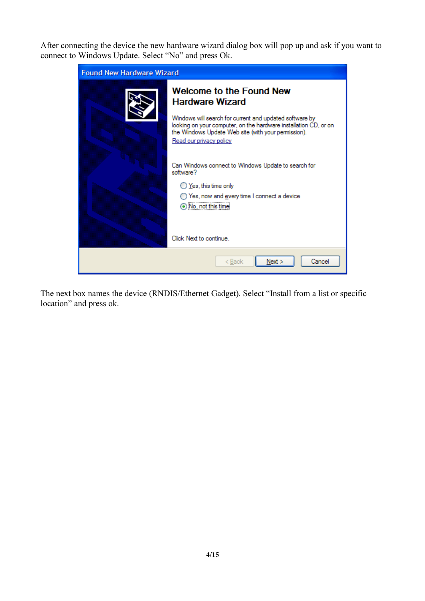After connecting the device the new hardware wizard dialog box will pop up and ask if you want to connect to Windows Update. Select "No" and press Ok.

| <b>Found New Hardware Wizard</b> |                                                                                                                                                                                                               |  |
|----------------------------------|---------------------------------------------------------------------------------------------------------------------------------------------------------------------------------------------------------------|--|
|                                  | Welcome to the Found New<br><b>Hardware Wizard</b>                                                                                                                                                            |  |
|                                  | Windows will search for current and updated software by<br>looking on your computer, on the hardware installation CD, or on<br>the Windows Update Web site (with your permission).<br>Read our privacy policy |  |
|                                  | Can Windows connect to Windows Update to search for<br>software?                                                                                                                                              |  |
|                                  | ◯ Yes, this time only<br>) Yes, now and <u>e</u> very time I connect a device<br>No, not this time                                                                                                            |  |
|                                  | Click Next to continue.                                                                                                                                                                                       |  |
|                                  | Cancel<br>Next<br>< Back                                                                                                                                                                                      |  |

The next box names the device (RNDIS/Ethernet Gadget). Select "Install from a list or specific location" and press ok.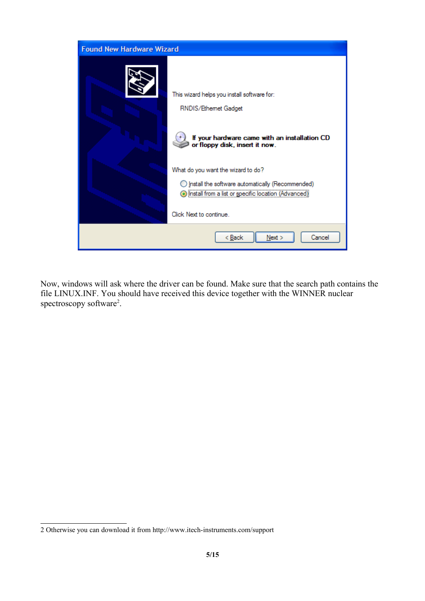

Now, windows will ask where the driver can be found. Make sure that the search path contains the file LINUX.INF. You should have received this device together with the WINNER nuclear spectroscopy software<sup>[2](#page-4-0)</sup>.

<span id="page-4-0"></span><sup>2</sup> Otherwise you can download it from http://www.itech-instruments.com/support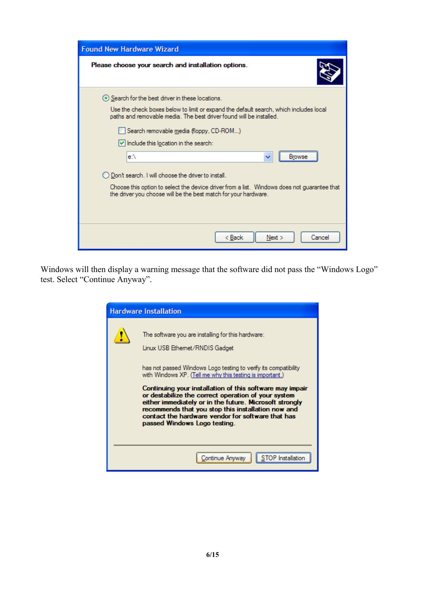| <b>Found New Hardware Wizard</b>                                                                                                                               |  |  |  |  |
|----------------------------------------------------------------------------------------------------------------------------------------------------------------|--|--|--|--|
| Please choose your search and installation options.                                                                                                            |  |  |  |  |
| ⊙ Search for the best driver in these locations.                                                                                                               |  |  |  |  |
| Use the check boxes below to limit or expand the default search, which includes local<br>paths and removable media. The best driver found will be installed.   |  |  |  |  |
| Search removable media (floppy, CD-ROM)                                                                                                                        |  |  |  |  |
| $\vee$ Include this location in the search:                                                                                                                    |  |  |  |  |
| e:\<br><b>Browse</b><br>v                                                                                                                                      |  |  |  |  |
| ◯ Don't search. I will choose the driver to install.                                                                                                           |  |  |  |  |
| Choose this option to select the device driver from a list. Windows does not quarantee that<br>the driver you choose will be the best match for your hardware. |  |  |  |  |
|                                                                                                                                                                |  |  |  |  |
| < <u>B</u> ack<br>Next<br>Cancel                                                                                                                               |  |  |  |  |

Windows will then display a warning message that the software did not pass the "Windows Logo" test. Select "Continue Anyway".

| <b>Hardware Installation</b>                                                                                                                                                                                                                                                                                                                                                                                                                                                                                                                  |
|-----------------------------------------------------------------------------------------------------------------------------------------------------------------------------------------------------------------------------------------------------------------------------------------------------------------------------------------------------------------------------------------------------------------------------------------------------------------------------------------------------------------------------------------------|
| The software you are installing for this hardware:<br>Linux USB Ethemet/RNDIS Gadget<br>has not passed Windows Logo testing to verify its compatibility<br>with Windows XP. (Tell me why this testing is important.)<br>Continuing your installation of this software may impair<br>or destabilize the correct operation of your system<br>either immediately or in the future. Microsoft strongly<br>recommends that you stop this installation now and<br>contact the hardware vendor for software that has<br>passed Windows Logo testing. |
| Continue Anyway                                                                                                                                                                                                                                                                                                                                                                                                                                                                                                                               |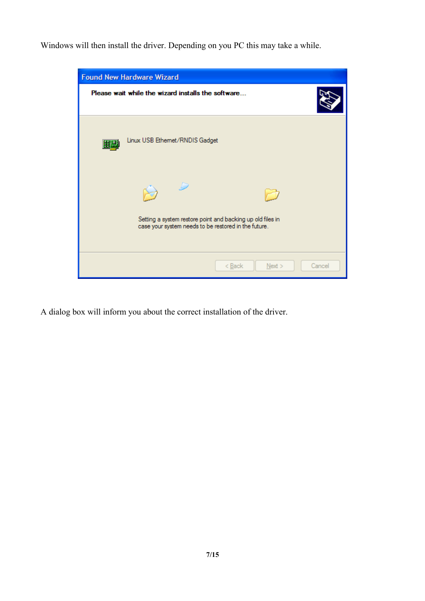Windows will then install the driver. Depending on you PC this may take a while.

| <b>Found New Hardware Wizard</b> |                                                                                                                            |  |  |
|----------------------------------|----------------------------------------------------------------------------------------------------------------------------|--|--|
|                                  | Please wait while the wizard installs the software                                                                         |  |  |
| 田豊                               | Linux USB Ethemet/RNDIS Gadget                                                                                             |  |  |
|                                  | - 12<br>Setting a system restore point and backing up old files in<br>case your system needs to be restored in the future. |  |  |
|                                  | $<$ Back<br>Next<br>Cancel                                                                                                 |  |  |

A dialog box will inform you about the correct installation of the driver.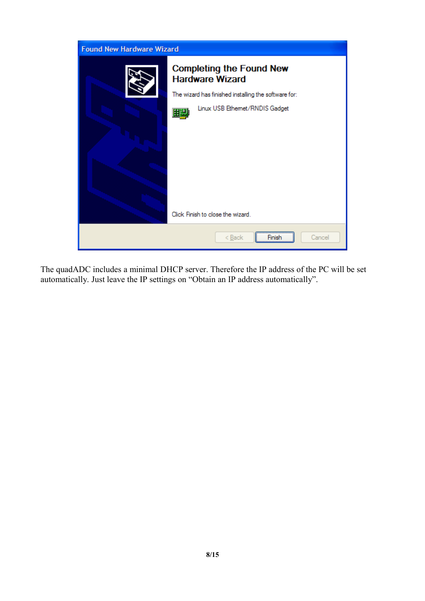

The quadADC includes a minimal DHCP server. Therefore the IP address of the PC will be set automatically. Just leave the IP settings on "Obtain an IP address automatically".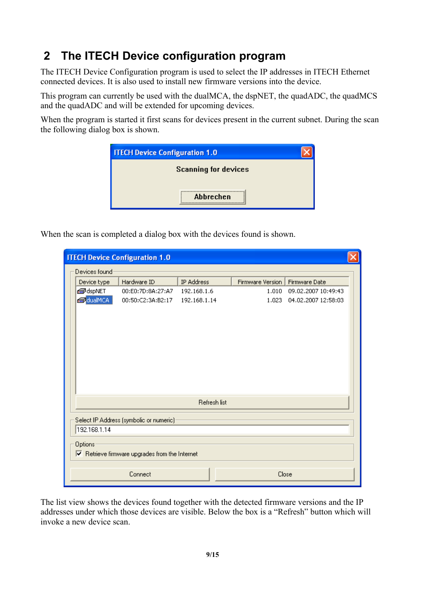## **2 The ITECH Device configuration program**

<span id="page-8-0"></span>The ITECH Device Configuration program is used to select the IP addresses in ITECH Ethernet connected devices. It is also used to install new firmware versions into the device.

This program can currently be used with the dualMCA, the dspNET, the quadADC, the quadMCS and the quadADC and will be extended for upcoming devices.

When the program is started it first scans for devices present in the current subnet. During the scan the following dialog box is shown.

| <b>ITECH Device Configuration 1.0</b> |  |  |
|---------------------------------------|--|--|
| <b>Scanning for devices</b>           |  |  |
|                                       |  |  |
| Abbrechen<br>                         |  |  |

When the scan is completed a dialog box with the devices found is shown.

|                                                                              | <b>ITECH Device Configuration 1.0</b>                    |                   |              |                  |                     |  |
|------------------------------------------------------------------------------|----------------------------------------------------------|-------------------|--------------|------------------|---------------------|--|
|                                                                              | Devices found                                            |                   |              |                  |                     |  |
|                                                                              | Device type                                              | Hardware ID       | IP Address   | Firmware Version | Firmware Date       |  |
|                                                                              | <del>©</del> ∂dspNET                                     | 00:E0:7D:8A:27:A7 | 192.168.1.6  | 1.010            | 09.02.2007 10:49:43 |  |
|                                                                              | dualMCA                                                  | 00:50:C2:3A:B2:17 | 192.168.1.14 | 1.023            | 04.02.2007 12:58:03 |  |
|                                                                              |                                                          |                   |              |                  |                     |  |
|                                                                              | <b>Refresh list</b>                                      |                   |              |                  |                     |  |
|                                                                              | Select IP Address (symbolic or numeric)-<br>192.168.1.14 |                   |              |                  |                     |  |
| Options<br>$\boxed{\checkmark}$ Retrieve firmware upgrades from the Internet |                                                          |                   |              |                  |                     |  |
|                                                                              | Close<br>Connect                                         |                   |              |                  |                     |  |

The list view shows the devices found together with the detected firmware versions and the IP addresses under which those devices are visible. Below the box is a "Refresh" button which will invoke a new device scan.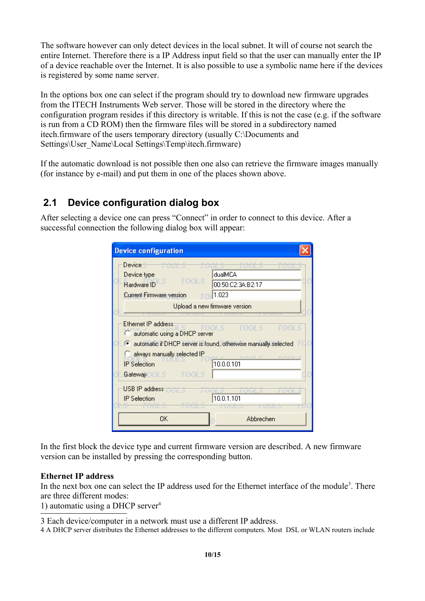The software however can only detect devices in the local subnet. It will of course not search the entire Internet. Therefore there is a IP Address input field so that the user can manually enter the IP of a device reachable over the Internet. It is also possible to use a symbolic name here if the devices is registered by some name server.

In the options box one can select if the program should try to download new firmware upgrades from the ITECH Instruments Web server. Those will be stored in the directory where the configuration program resides if this directory is writable. If this is not the case (e.g. if the software is run from a CD ROM) then the firmware files will be stored in a subdirectory named itech.firmware of the users temporary directory (usually C:\Documents and Settings\User\_Name\Local Settings\Temp\itech.firmware)

If the automatic download is not possible then one also can retrieve the firmware images manually (for instance by e-mail) and put them in one of the places shown above.

#### **2.1 Device configuration dialog box**

After selecting a device one can press "Connect" in order to connect to this device. After a successful connection the following dialog box will appear:

| <b>Device configuration</b>                                                                                                              |                                                                                                               |
|------------------------------------------------------------------------------------------------------------------------------------------|---------------------------------------------------------------------------------------------------------------|
| Device $\pm$<br>- 700/ 5<br>- 7007.5<br>Device type<br>TOOLS<br>Hardware ID<br><b>Current Firmware version</b>                           | dualMCA<br>00:50:C2:3A:B2:17<br>1.023                                                                         |
|                                                                                                                                          | Upload a new firmware version                                                                                 |
| Ethernet IP address<br>automatic using a DHCP server<br>G.<br>always manually selected IP<br><b>IP</b> Selection<br>GatewayOOLS<br>TOOLS | TOOL S<br>FOOL S<br>automatic if DHCP server is found, otherwise manually selected<br>TANC TANC<br>10.0.0.101 |
| USB IP address OCI 5<br>23,2022<br><b>IP</b> Selection<br>OΚ                                                                             | <b>FUUL 3</b><br>10.0.1.101<br>Abbrechen                                                                      |

In the first block the device type and current firmware version are described. A new firmware version can be installed by pressing the corresponding button.

#### **Ethernet IP address**

In the next box one can select the IP address used for the Ethernet interface of the module<sup>[3](#page-9-0)</sup>. There are three different modes:

1) automatic using a DHCP server $4$ 

<span id="page-9-0"></span>3 Each device/computer in a network must use a different IP address.

<span id="page-9-1"></span>4 A DHCP server distributes the Ethernet addresses to the different computers. Most DSL or WLAN routers include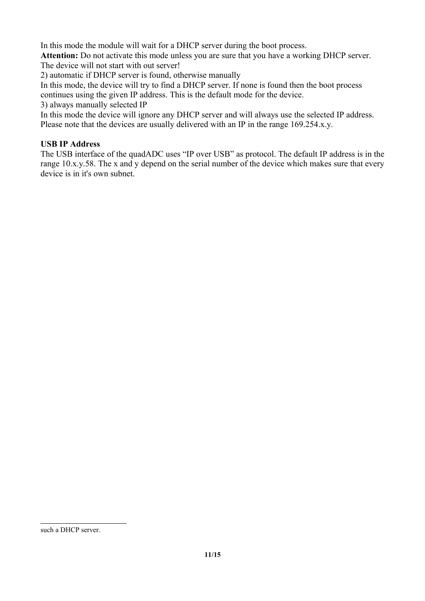In this mode the module will wait for a DHCP server during the boot process.

**Attention:** Do not activate this mode unless you are sure that you have a working DHCP server. The device will not start with out server!

2) automatic if DHCP server is found, otherwise manually

In this mode, the device will try to find a DHCP server. If none is found then the boot process continues using the given IP address. This is the default mode for the device.

3) always manually selected IP

In this mode the device will ignore any DHCP server and will always use the selected IP address. Please note that the devices are usually delivered with an IP in the range 169.254.x.y.

#### **USB IP Address**

The USB interface of the quadADC uses "IP over USB" as protocol. The default IP address is in the range 10.x.y.58. The x and y depend on the serial number of the device which makes sure that every device is in it's own subnet.

such a DHCP server.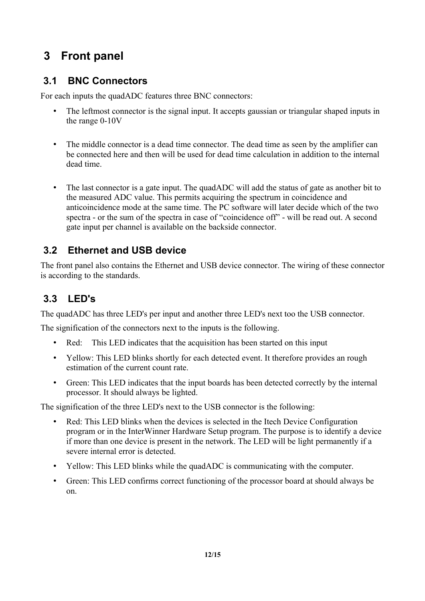## **3 Front panel**

### **3.1 BNC Connectors**

For each inputs the quadADC features three BNC connectors:

- The leftmost connector is the signal input. It accepts gaussian or triangular shaped inputs in the range 0-10V
- The middle connector is a dead time connector. The dead time as seen by the amplifier can be connected here and then will be used for dead time calculation in addition to the internal dead time.
- The last connector is a gate input. The quadADC will add the status of gate as another bit to the measured ADC value. This permits acquiring the spectrum in coincidence and anticoincidence mode at the same time. The PC software will later decide which of the two spectra - or the sum of the spectra in case of "coincidence off" - will be read out. A second gate input per channel is available on the backside connector.

#### **3.2 Ethernet and USB device**

The front panel also contains the Ethernet and USB device connector. The wiring of these connector is according to the standards.

### **3.3 LED's**

The quadADC has three LED's per input and another three LED's next too the USB connector.

The signification of the connectors next to the inputs is the following.

- Red: This LED indicates that the acquisition has been started on this input
- Yellow: This LED blinks shortly for each detected event. It therefore provides an rough estimation of the current count rate.
- Green: This LED indicates that the input boards has been detected correctly by the internal processor. It should always be lighted.

The signification of the three LED's next to the USB connector is the following:

- Red: This LED blinks when the devices is selected in the Itech Device Configuration program or in the InterWinner Hardware Setup program. The purpose is to identify a device if more than one device is present in the network. The LED will be light permanently if a severe internal error is detected.
- Yellow: This LED blinks while the quadADC is communicating with the computer.
- Green: This LED confirms correct functioning of the processor board at should always be on.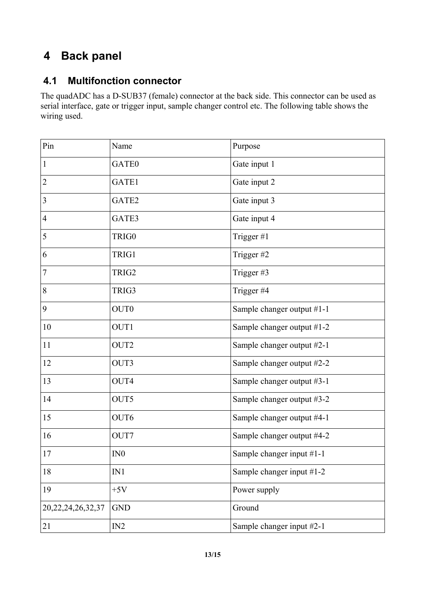## **4 Back panel**

### **4.1 Multifonction connector**

The quadADC has a D-SUB37 (female) connector at the back side. This connector can be used as serial interface, gate or trigger input, sample changer control etc. The following table shows the wiring used.

| Pin                    | Name             | Purpose                    |
|------------------------|------------------|----------------------------|
| $\mathbf{1}$           | GATE0            | Gate input 1               |
| $\overline{2}$         | GATE1            | Gate input 2               |
| $\mathfrak{Z}$         | GATE2            | Gate input 3               |
| $\overline{4}$         | GATE3            | Gate input 4               |
| 5                      | TRIG0            | Trigger #1                 |
| 6                      | TRIG1            | Trigger #2                 |
| $\overline{7}$         | TRIG2            | Trigger #3                 |
| $8\,$                  | TRIG3            | Trigger #4                 |
| 9                      | OUT <sub>0</sub> | Sample changer output #1-1 |
| 10                     | OUT1             | Sample changer output #1-2 |
| 11                     | OUT2             | Sample changer output #2-1 |
| 12                     | OUT3             | Sample changer output #2-2 |
| 13                     | OUT4             | Sample changer output #3-1 |
| 14                     | OUT5             | Sample changer output #3-2 |
| 15                     | OUT6             | Sample changer output #4-1 |
| 16                     | OUT7             | Sample changer output #4-2 |
| 17                     | IN <sub>0</sub>  | Sample changer input #1-1  |
| 18                     | IN1              | Sample changer input #1-2  |
| 19                     | $+5V$            | Power supply               |
| 20, 22, 24, 26, 32, 37 | <b>GND</b>       | Ground                     |
| 21                     | IN2              | Sample changer input #2-1  |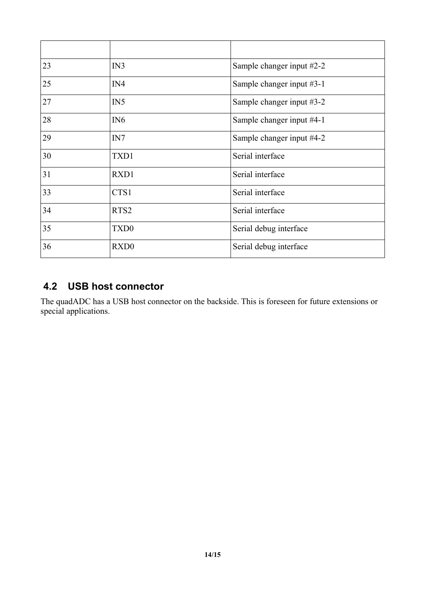| 23 | IN3              | Sample changer input #2-2 |
|----|------------------|---------------------------|
| 25 | IN4              | Sample changer input #3-1 |
| 27 | IN5              | Sample changer input #3-2 |
| 28 | IN <sub>6</sub>  | Sample changer input #4-1 |
| 29 | IN7              | Sample changer input #4-2 |
| 30 | TXD1             | Serial interface          |
| 31 | RXD1             | Serial interface          |
| 33 | CTS1             | Serial interface          |
| 34 | RTS <sub>2</sub> | Serial interface          |
| 35 | TXD <sub>0</sub> | Serial debug interface    |
| 36 | RXD <sub>0</sub> | Serial debug interface    |

### **4.2 USB host connector**

The quadADC has a USB host connector on the backside. This is foreseen for future extensions or special applications.